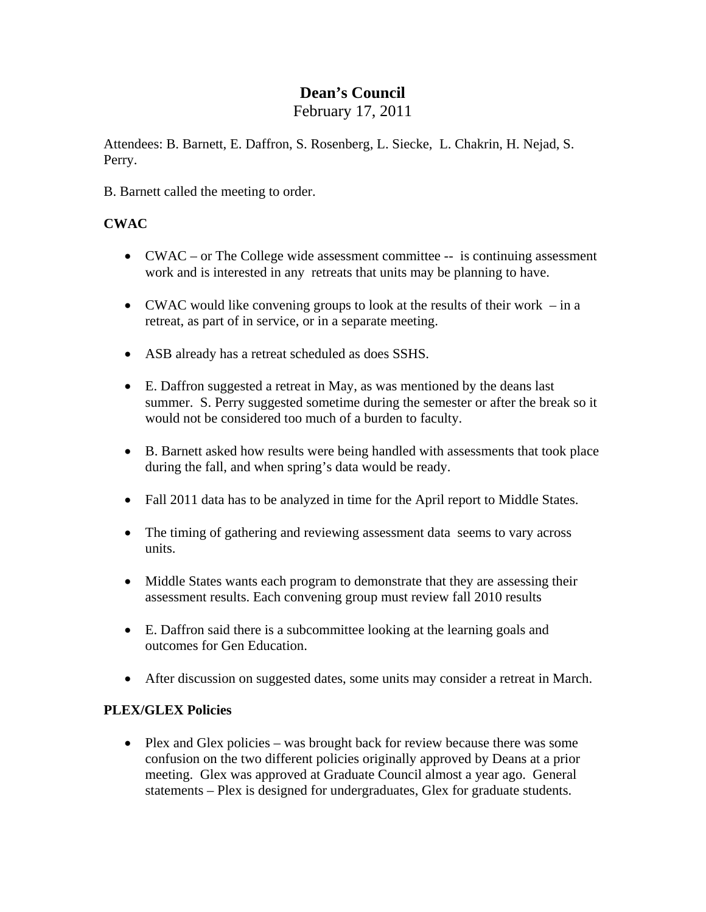# **Dean's Council**

February 17, 2011

Attendees: B. Barnett, E. Daffron, S. Rosenberg, L. Siecke, L. Chakrin, H. Nejad, S. Perry.

B. Barnett called the meeting to order.

## **CWAC**

- CWAC or The College wide assessment committee -- is continuing assessment work and is interested in any retreats that units may be planning to have.
- CWAC would like convening groups to look at the results of their work in a retreat, as part of in service, or in a separate meeting.
- ASB already has a retreat scheduled as does SSHS.
- E. Daffron suggested a retreat in May, as was mentioned by the deans last summer. S. Perry suggested sometime during the semester or after the break so it would not be considered too much of a burden to faculty.
- B. Barnett asked how results were being handled with assessments that took place during the fall, and when spring's data would be ready.
- Fall 2011 data has to be analyzed in time for the April report to Middle States.
- The timing of gathering and reviewing assessment data seems to vary across units.
- Middle States wants each program to demonstrate that they are assessing their assessment results. Each convening group must review fall 2010 results
- E. Daffron said there is a subcommittee looking at the learning goals and outcomes for Gen Education.
- After discussion on suggested dates, some units may consider a retreat in March.

### **PLEX/GLEX Policies**

• Plex and Glex policies – was brought back for review because there was some confusion on the two different policies originally approved by Deans at a prior meeting. Glex was approved at Graduate Council almost a year ago. General statements – Plex is designed for undergraduates, Glex for graduate students.